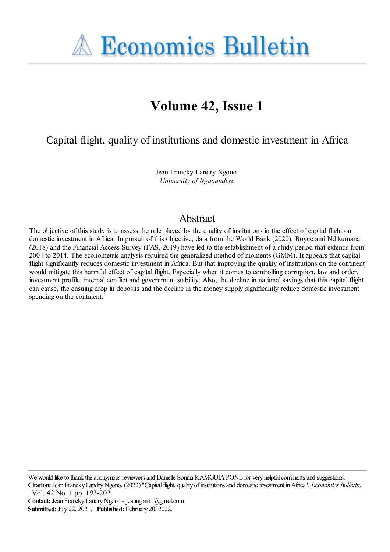**A Economics Bulletin** 

# **Volume 42, Issue 1**

Capital flight, quality of institutions and domestic investment in Africa

Jean Francky Landry Ngono *University of Ngaoundere*

# Abstract

The objective of this study is to assess the role played by the quality of institutions in the effect of capital flight on domestic investment in Africa. In pursuit of this objective, data from the World Bank (2020), Boyce and Ndikumana (2018) and the Financial Access Survey (FAS, 2019) have led to the establishment of a study period that extends from 2004 to 2014. The econometric analysis required the generalized method of moments (GMM). It appears that capital flight significantly reduces domestic investment in Africa. But that improving the quality of institutions on the continent would mitigate this harmful effect of capital flight. Especially when it comes to controlling corruption, law and order, investment profile, internal conflict and government stability. Also, the decline in national savings that this capital flight can cause, the ensuing drop in deposits and the decline in the money supply significantly reduce domestic investment spending on the continent.

We would like to thank the anonymous reviewers and Danielle Sonnia KAMGUIA PONE for very helpful comments and suggestions.

**Citation:** Jean FranckyLandryNgono, (2022) ''Capitalflight, quality ofinstitutionsand domesticinvestment inAfrica'', *Economics Bulletin*, , Vol. 42 No. 1 pp. 193-202.

**Contact:** Jean FranckyLandryNgono - jeanngono1@gmail.com. **Submitted:** July 22, 2021. **Published:** February 20, 2022.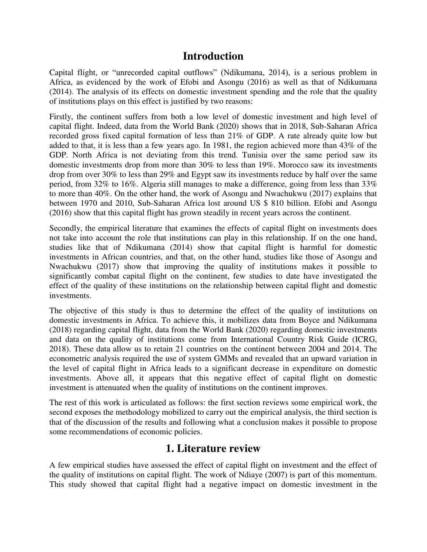### **Introduction**

Capital flight, or "unrecorded capital outflows" (Ndikumana, 2014), is a serious problem in Africa, as evidenced by the work of Efobi and Asongu (2016) as well as that of Ndikumana (2014). The analysis of its effects on domestic investment spending and the role that the quality of institutions plays on this effect is justified by two reasons:

Firstly, the continent suffers from both a low level of domestic investment and high level of capital flight. Indeed, data from the World Bank (2020) shows that in 2018, Sub-Saharan Africa recorded gross fixed capital formation of less than 21% of GDP. A rate already quite low but added to that, it is less than a few years ago. In 1981, the region achieved more than 43% of the GDP. North Africa is not deviating from this trend. Tunisia over the same period saw its domestic investments drop from more than 30% to less than 19%. Morocco saw its investments drop from over 30% to less than 29% and Egypt saw its investments reduce by half over the same period, from 32% to 16%. Algeria still manages to make a difference, going from less than 33% to more than 40%. On the other hand, the work of Asongu and Nwachukwu (2017) explains that between 1970 and 2010, Sub-Saharan Africa lost around US \$ 810 billion. Efobi and Asongu (2016) show that this capital flight has grown steadily in recent years across the continent.

Secondly, the empirical literature that examines the effects of capital flight on investments does not take into account the role that institutions can play in this relationship. If on the one hand, studies like that of Ndikumana (2014) show that capital flight is harmful for domestic investments in African countries, and that, on the other hand, studies like those of Asongu and Nwachukwu (2017) show that improving the quality of institutions makes it possible to significantly combat capital flight on the continent, few studies to date have investigated the effect of the quality of these institutions on the relationship between capital flight and domestic investments.

The objective of this study is thus to determine the effect of the quality of institutions on domestic investments in Africa. To achieve this, it mobilizes data from Boyce and Ndikumana (2018) regarding capital flight, data from the World Bank (2020) regarding domestic investments and data on the quality of institutions come from International Country Risk Guide (ICRG, 2018). These data allow us to retain 21 countries on the continent between 2004 and 2014. The econometric analysis required the use of system GMMs and revealed that an upward variation in the level of capital flight in Africa leads to a significant decrease in expenditure on domestic investments. Above all, it appears that this negative effect of capital flight on domestic investment is attenuated when the quality of institutions on the continent improves.

The rest of this work is articulated as follows: the first section reviews some empirical work, the second exposes the methodology mobilized to carry out the empirical analysis, the third section is that of the discussion of the results and following what a conclusion makes it possible to propose some recommendations of economic policies.

### **1. Literature review**

A few empirical studies have assessed the effect of capital flight on investment and the effect of the quality of institutions on capital flight. The work of Ndiaye (2007) is part of this momentum. This study showed that capital flight had a negative impact on domestic investment in the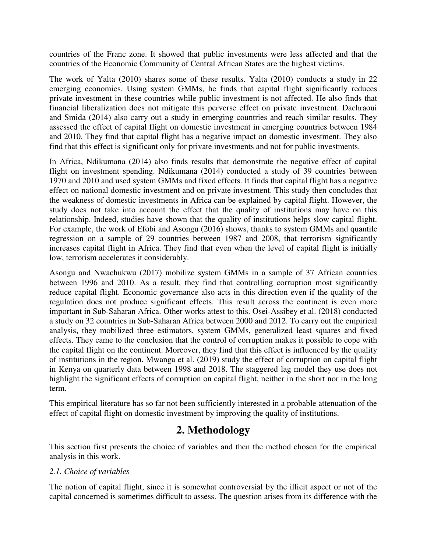countries of the Franc zone. It showed that public investments were less affected and that the countries of the Economic Community of Central African States are the highest victims.

The work of Yalta (2010) shares some of these results. Yalta (2010) conducts a study in 22 emerging economies. Using system GMMs, he finds that capital flight significantly reduces private investment in these countries while public investment is not affected. He also finds that financial liberalization does not mitigate this perverse effect on private investment. Dachraoui and Smida (2014) also carry out a study in emerging countries and reach similar results. They assessed the effect of capital flight on domestic investment in emerging countries between 1984 and 2010. They find that capital flight has a negative impact on domestic investment. They also find that this effect is significant only for private investments and not for public investments.

In Africa, Ndikumana (2014) also finds results that demonstrate the negative effect of capital flight on investment spending. Ndikumana (2014) conducted a study of 39 countries between 1970 and 2010 and used system GMMs and fixed effects. It finds that capital flight has a negative effect on national domestic investment and on private investment. This study then concludes that the weakness of domestic investments in Africa can be explained by capital flight. However, the study does not take into account the effect that the quality of institutions may have on this relationship. Indeed, studies have shown that the quality of institutions helps slow capital flight. For example, the work of Efobi and Asongu (2016) shows, thanks to system GMMs and quantile regression on a sample of 29 countries between 1987 and 2008, that terrorism significantly increases capital flight in Africa. They find that even when the level of capital flight is initially low, terrorism accelerates it considerably.

Asongu and Nwachukwu (2017) mobilize system GMMs in a sample of 37 African countries between 1996 and 2010. As a result, they find that controlling corruption most significantly reduce capital flight. Economic governance also acts in this direction even if the quality of the regulation does not produce significant effects. This result across the continent is even more important in Sub-Saharan Africa. Other works attest to this. Osei-Assibey et al. (2018) conducted a study on 32 countries in Sub-Saharan Africa between 2000 and 2012. To carry out the empirical analysis, they mobilized three estimators, system GMMs, generalized least squares and fixed effects. They came to the conclusion that the control of corruption makes it possible to cope with the capital flight on the continent. Moreover, they find that this effect is influenced by the quality of institutions in the region. Mwanga et al. (2019) study the effect of corruption on capital flight in Kenya on quarterly data between 1998 and 2018. The staggered lag model they use does not highlight the significant effects of corruption on capital flight, neither in the short nor in the long term.

This empirical literature has so far not been sufficiently interested in a probable attenuation of the effect of capital flight on domestic investment by improving the quality of institutions.

# **2. Methodology**

This section first presents the choice of variables and then the method chosen for the empirical analysis in this work.

#### *2.1. Choice of variables*

The notion of capital flight, since it is somewhat controversial by the illicit aspect or not of the capital concerned is sometimes difficult to assess. The question arises from its difference with the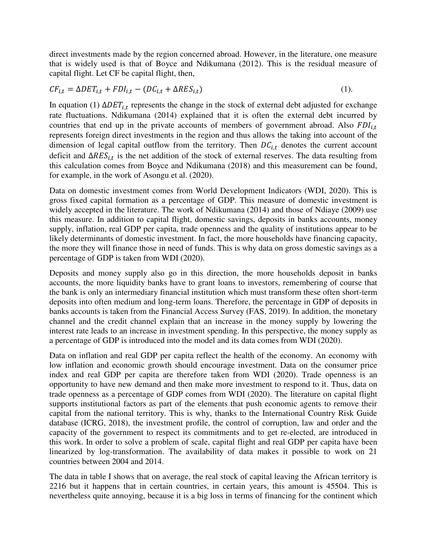direct investments made by the region concerned abroad. However, in the literature, one measure that is widely used is that of Boyce and Ndikumana (2012). This is the residual measure of capital flight. Let CF be capital flight, then,

$$
CF_{i,t} = \Delta DET_{i,t} + FDI_{i,t} - (DC_{i,t} + \Delta RES_{i,t})
$$
\n
$$
(1).
$$

In equation (1)  $\Delta DET_{i,t}$  represents the change in the stock of external debt adjusted for exchange rate fluctuations. Ndikumana (2014) explained that it is often the external debt incurred by countries that end up in the private accounts of members of government abroad. Also  $FDI_{i,t}$ represents foreign direct investments in the region and thus allows the taking into account of the dimension of legal capital outflow from the territory. Then  $DC_{i,t}$  denotes the current account deficit and  $\Delta \text{RES}_{i,t}$  is the net addition of the stock of external reserves. The data resulting from this calculation comes from Boyce and Ndikumana (2018) and this measurement can be found, for example, in the work of Asongu et al. (2020).

Data on domestic investment comes from World Development Indicators (WDI, 2020). This is gross fixed capital formation as a percentage of GDP. This measure of domestic investment is widely accepted in the literature. The work of Ndikumana (2014) and those of Ndiaye (2009) use this measure. In addition to capital flight, domestic savings, deposits in banks accounts, money supply, inflation, real GDP per capita, trade openness and the quality of institutions appear to be likely determinants of domestic investment. In fact, the more households have financing capacity, the more they will finance those in need of funds. This is why data on gross domestic savings as a percentage of GDP is taken from WDI (2020).

Deposits and money supply also go in this direction, the more households deposit in banks accounts, the more liquidity banks have to grant loans to investors, remembering of course that the bank is only an intermediary financial institution which must transform these often short-term deposits into often medium and long-term loans. Therefore, the percentage in GDP of deposits in banks accounts is taken from the Financial Access Survey (FAS, 2019). In addition, the monetary channel and the credit channel explain that an increase in the money supply by lowering the interest rate leads to an increase in investment spending. In this perspective, the money supply as a percentage of GDP is introduced into the model and its data comes from WDI (2020).

Data on inflation and real GDP per capita reflect the health of the economy. An economy with low inflation and economic growth should encourage investment. Data on the consumer price index and real GDP per capita are therefore taken from WDI (2020). Trade openness is an opportunity to have new demand and then make more investment to respond to it. Thus, data on trade openness as a percentage of GDP comes from WDI (2020). The literature on capital flight supports institutional factors as part of the elements that push economic agents to remove their capital from the national territory. This is why, thanks to the International Country Risk Guide database (ICRG, 2018), the investment profile, the control of corruption, law and order and the capacity of the government to respect its commitments and to get re-elected, are introduced in this work. In order to solve a problem of scale, capital flight and real GDP per capita have been linearized by log-transformation. The availability of data makes it possible to work on 21 countries between 2004 and 2014.

The data in table I shows that on average, the real stock of capital leaving the African territory is 2216 but it happens that in certain countries, in certain years, this amount is 45504. This is nevertheless quite annoying, because it is a big loss in terms of financing for the continent which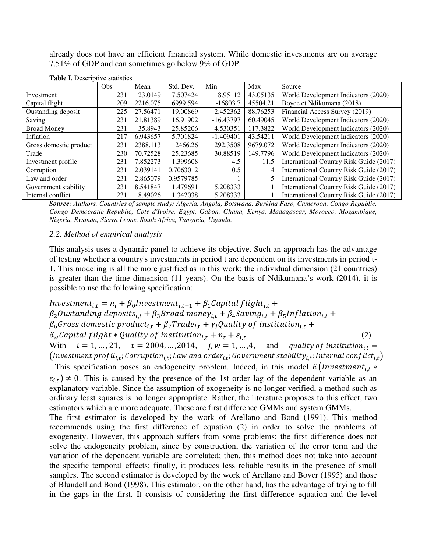already does not have an efficient financial system. While domestic investments are on average 7.51% of GDP and can sometimes go below 9% of GDP.

|                        | <b>Obs</b> | Mean     | Std. Dev. | Min         | Max      | Source                                  |
|------------------------|------------|----------|-----------|-------------|----------|-----------------------------------------|
| Investment             | 231        | 23.0149  | 7.507424  | 8.95112     | 43.05135 | World Development Indicators (2020)     |
| Capital flight         | 209        | 2216.075 | 6999.594  | $-16803.7$  | 45504.21 | Boyce et Ndikumana (2018)               |
| Oustanding deposit     | 225        | 27.56471 | 19.00869  | 2.452362    | 88.76253 | Financial Access Survey (2019)          |
| Saving                 | 231        | 21.81389 | 16.91902  | $-16.43797$ | 60.49045 | World Development Indicators (2020)     |
| <b>Broad Money</b>     | 231        | 35.8943  | 25.85206  | 4.530351    | 117.3822 | World Development Indicators (2020)     |
| Inflation              | 217        | 6.943657 | 5.701824  | $-1.409401$ | 43.54211 | World Development Indicators (2020)     |
| Gross domestic product | 231        | 2388.113 | 2466.26   | 292.3508    | 9679.072 | World Development Indicators (2020)     |
| Trade                  | 230        | 70.72528 | 25.23685  | 30.88519    | 149.7796 | World Development Indicators (2020)     |
| Investment profile     | 231        | 7.852273 | 1.399608  | 4.5         | 11.5     | International Country Risk Guide (2017) |
| Corruption             | 231        | 2.039141 | 0.7063012 | 0.5         | 4        | International Country Risk Guide (2017) |
| Law and order          | 231        | 2.865079 | 0.9579785 |             | 5        | International Country Risk Guide (2017) |
| Government stability   | 231        | 8.541847 | 1.479691  | 5.208333    | 11       | International Country Risk Guide (2017) |
| Internal conflict      | 231        | 8.49026  | 1.342038  | 5.208333    | 11       | International Country Risk Guide (2017) |

**Table I**. Descriptive statistics

*Source: Authors. Countries of sample study: Algeria, Angola, Botswana, Burkina Faso, Cameroon, Congo Republic, Congo Democratic Republic, Cote d'Ivoire, Egypt, Gabon, Ghana, Kenya, Madagascar, Morocco, Mozambique, Nigeria, Rwanda, Sierra Leone, South Africa, Tanzania, Uganda.*

#### *2.2. Method of empirical analysis*

This analysis uses a dynamic panel to achieve its objective. Such an approach has the advantage of testing whether a country's investments in period t are dependent on its investments in period t-1. This modeling is all the more justified as in this work; the individual dimension (21 countries) is greater than the time dimension (11 years). On the basis of Ndikumana's work (2014), it is possible to use the following specification:

 $Investment_{i,t} = n_i + \beta_0$ Investment $t_{i,t-1} + \beta_1$ Capital flight $t_{i,t}$  +  $\beta_2$ Oustanding deposits<sub>i,t</sub> +  $\beta_3$ Broad money<sub>i,t</sub> +  $\beta_4$ Saving<sub>i,t</sub> +  $\beta_5$ Inflation<sub>i,t</sub> +  $\beta_6$ Gross domestic product<sub>i,t</sub> +  $\beta_7$ Trade<sub>i,t</sub> +  $\gamma_i$ Quality of institution<sub>i,t</sub> +  $\delta_w \text{Capital flight} * \text{Quality of institution}_{i,t} + n_t + \varepsilon_{i,t}$ (2) With  $i = 1, ..., 21, t = 2004, ..., 2014, j, w = 1, ..., 4,$  and quality of institution<sub>it</sub>

(Investment profil<sub>i.t</sub>; Corruption<sub>i.t</sub>; Law and order<sub>i.t</sub>; Government stability<sub>i.t</sub>; Internal conflict<sub>i.t</sub>) . This specification poses an endogeneity problem. Indeed, in this model  $E(Investment_{i,t} *$  $\varepsilon_{i,t}$   $\neq$  0. This is caused by the presence of the 1st order lag of the dependent variable as an explanatory variable. Since the assumption of exogeneity is no longer verified, a method such as

ordinary least squares is no longer appropriate. Rather, the literature proposes to this effect, two estimators which are more adequate. These are first difference GMMs and system GMMs.

The first estimator is developed by the work of Arellano and Bond (1991). This method recommends using the first difference of equation (2) in order to solve the problems of exogeneity. However, this approach suffers from some problems: the first difference does not solve the endogeneity problem, since by construction, the variation of the error term and the variation of the dependent variable are correlated; then, this method does not take into account the specific temporal effects; finally, it produces less reliable results in the presence of small samples. The second estimator is developed by the work of Arellano and Bover (1995) and those of Blundell and Bond (1998). This estimator, on the other hand, has the advantage of trying to fill in the gaps in the first. It consists of considering the first difference equation and the level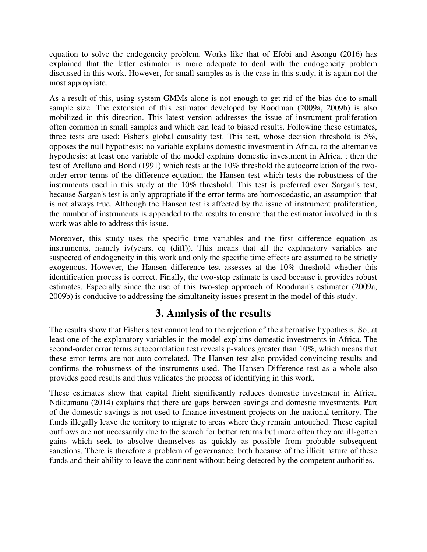equation to solve the endogeneity problem. Works like that of Efobi and Asongu (2016) has explained that the latter estimator is more adequate to deal with the endogeneity problem discussed in this work. However, for small samples as is the case in this study, it is again not the most appropriate.

As a result of this, using system GMMs alone is not enough to get rid of the bias due to small sample size. The extension of this estimator developed by Roodman (2009a, 2009b) is also mobilized in this direction. This latest version addresses the issue of instrument proliferation often common in small samples and which can lead to biased results. Following these estimates, three tests are used: Fisher's global causality test. This test, whose decision threshold is 5%, opposes the null hypothesis: no variable explains domestic investment in Africa, to the alternative hypothesis: at least one variable of the model explains domestic investment in Africa. ; then the test of Arellano and Bond (1991) which tests at the 10% threshold the autocorrelation of the twoorder error terms of the difference equation; the Hansen test which tests the robustness of the instruments used in this study at the 10% threshold. This test is preferred over Sargan's test, because Sargan's test is only appropriate if the error terms are homoscedastic, an assumption that is not always true. Although the Hansen test is affected by the issue of instrument proliferation, the number of instruments is appended to the results to ensure that the estimator involved in this work was able to address this issue.

Moreover, this study uses the specific time variables and the first difference equation as instruments, namely iv(years, eq (diff)). This means that all the explanatory variables are suspected of endogeneity in this work and only the specific time effects are assumed to be strictly exogenous. However, the Hansen difference test assesses at the 10% threshold whether this identification process is correct. Finally, the two-step estimate is used because it provides robust estimates. Especially since the use of this two-step approach of Roodman's estimator (2009a, 2009b) is conducive to addressing the simultaneity issues present in the model of this study.

# **3. Analysis of the results**

The results show that Fisher's test cannot lead to the rejection of the alternative hypothesis. So, at least one of the explanatory variables in the model explains domestic investments in Africa. The second-order error terms autocorrelation test reveals p-values greater than 10%, which means that these error terms are not auto correlated. The Hansen test also provided convincing results and confirms the robustness of the instruments used. The Hansen Difference test as a whole also provides good results and thus validates the process of identifying in this work.

These estimates show that capital flight significantly reduces domestic investment in Africa. Ndikumana (2014) explains that there are gaps between savings and domestic investments. Part of the domestic savings is not used to finance investment projects on the national territory. The funds illegally leave the territory to migrate to areas where they remain untouched. These capital outflows are not necessarily due to the search for better returns but more often they are ill-gotten gains which seek to absolve themselves as quickly as possible from probable subsequent sanctions. There is therefore a problem of governance, both because of the illicit nature of these funds and their ability to leave the continent without being detected by the competent authorities.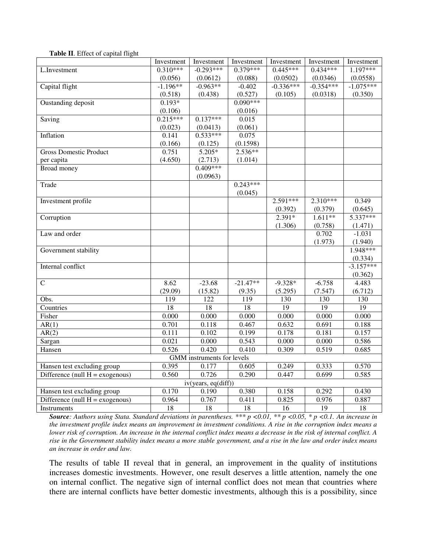|                                                                   | Investment<br>Investment           |                              | Investment      | Investment      | Investment      | Investment  |  |  |  |
|-------------------------------------------------------------------|------------------------------------|------------------------------|-----------------|-----------------|-----------------|-------------|--|--|--|
| L.Investment                                                      | $0.310***$                         | $-0.293***$                  | $0.379***$      | $0.445***$      | $0.434***$      | $1.197***$  |  |  |  |
|                                                                   | (0.056)                            | (0.0612)                     | (0.088)         | (0.0502)        | (0.0346)        | (0.0558)    |  |  |  |
| Capital flight                                                    | $-1.196**$                         | $-0.963**$                   | $-0.402$        | $-0.336***$     | $-0.354***$     | $-1.075***$ |  |  |  |
|                                                                   | (0.518)                            | (0.438)                      | (0.527)         | (0.105)         | (0.0318)        | (0.350)     |  |  |  |
| Oustanding deposit                                                | $0.193*$                           |                              | $0.090***$      |                 |                 |             |  |  |  |
|                                                                   | (0.106)                            |                              | (0.016)         |                 |                 |             |  |  |  |
| Saving                                                            | $0.215***$                         | $0.\overline{137***}$        | 0.015           |                 |                 |             |  |  |  |
|                                                                   | (0.023)                            | (0.0413)                     | (0.061)         |                 |                 |             |  |  |  |
| Inflation                                                         | 0.141                              | $0.533***$                   | 0.075           |                 |                 |             |  |  |  |
|                                                                   | (0.166)                            | (0.125)                      | (0.1598)        |                 |                 |             |  |  |  |
| <b>Gross Domestic Product</b>                                     | 0.751                              | 5.205*                       | 2.536**         |                 |                 |             |  |  |  |
| per capita                                                        | (4.650)                            | (2.713)                      | (1.014)         |                 |                 |             |  |  |  |
| Broad money                                                       |                                    | $0.409***$                   |                 |                 |                 |             |  |  |  |
|                                                                   |                                    | (0.0963)                     |                 |                 |                 |             |  |  |  |
| Trade                                                             |                                    |                              | $0.243***$      |                 |                 |             |  |  |  |
|                                                                   |                                    |                              | (0.045)         |                 |                 |             |  |  |  |
| Investment profile                                                |                                    |                              |                 | $2.591***$      | 2.310***        | 0.349       |  |  |  |
|                                                                   |                                    |                              |                 | (0.392)         | (0.379)         | (0.645)     |  |  |  |
| Corruption                                                        |                                    |                              |                 | $2.391*$        | $1.611**$       | 5.337***    |  |  |  |
|                                                                   |                                    |                              |                 | (1.306)         | (0.758)         | (1.471)     |  |  |  |
| Law and order                                                     |                                    |                              |                 |                 | 0.702           | $-1.031$    |  |  |  |
|                                                                   |                                    |                              |                 |                 | (1.973)         | (1.940)     |  |  |  |
| Government stability                                              |                                    |                              |                 |                 |                 | $1.948***$  |  |  |  |
|                                                                   |                                    |                              |                 |                 |                 | (0.334)     |  |  |  |
| Internal conflict                                                 |                                    |                              |                 |                 |                 | $-3.157***$ |  |  |  |
|                                                                   |                                    |                              |                 |                 |                 | (0.362)     |  |  |  |
| $\mathcal{C}$                                                     | 8.62                               | $-23.68$                     | $-21.47**$      | $-9.328*$       | $-6.758$        | 4.483       |  |  |  |
|                                                                   | (29.09)                            | (15.82)                      | (9.35)          | (5.295)         | (7.547)         | (6.712)     |  |  |  |
| Obs.                                                              | 119                                | 122                          | 119             | 130             | 130             | 130         |  |  |  |
| Countries                                                         | 18                                 | 18                           | 18              | $\overline{19}$ | $\overline{19}$ | 19          |  |  |  |
| Fisher                                                            | 0.000                              | 0.000                        | 0.000           | 0.000           | 0.000           | 0.000       |  |  |  |
| AR(1)                                                             | 0.701                              | 0.118                        | 0.467           | 0.632           | 0.691           | 0.188       |  |  |  |
| AR(2)                                                             | 0.111                              | 0.102                        | 0.199           | 0.178           | 0.181           | 0.157       |  |  |  |
| Sargan                                                            | 0.021                              | 0.000                        | 0.543           | 0.000           | 0.000           | 0.586       |  |  |  |
| Hansen                                                            | 0.526                              | 0.420                        | 0.410           | 0.309           | 0.519           | 0.685       |  |  |  |
| <b>GMM</b> instruments for levels                                 |                                    |                              |                 |                 |                 |             |  |  |  |
| Hansen test excluding group                                       | 0.395                              | 0.177                        | 0.605           | 0.249           | 0.333           | 0.570       |  |  |  |
|                                                                   | 0.560                              | 0.726                        | 0.290           | 0.447           | 0.699           | 0.585       |  |  |  |
|                                                                   | Difference (null $H = exogenous$ ) |                              |                 |                 |                 |             |  |  |  |
|                                                                   | 0.170                              | iv(years, eq(diff))<br>0.190 | 0.380           | 0.158           | 0.292           | 0.430       |  |  |  |
| Hansen test excluding group<br>Difference (null $H = exogenous$ ) | 0.964                              | 0.767                        | 0.411           | 0.825           | 0.976           | 0.887       |  |  |  |
|                                                                   |                                    |                              |                 |                 |                 |             |  |  |  |
| Instruments                                                       | $\overline{18}$                    | $\overline{18}$              | $\overline{18}$ | $\overline{16}$ | $\overline{19}$ | 18          |  |  |  |

#### **Table II**. Effect of capital flight

*Source: Authors using Stata. Standard deviations in parentheses. \*\*\* p <0.01, \*\* p <0.05, \* p <0.1. An increase in the investment profile index means an improvement in investment conditions. A rise in the corruption index means a lower risk of corruption. An increase in the internal conflict index means a decrease in the risk of internal conflict. A rise in the Government stability index means a more stable government, and a rise in the law and order index means an increase in order and law.*

The results of table II reveal that in general, an improvement in the quality of institutions increases domestic investments. However, one result deserves a little attention, namely the one on internal conflict. The negative sign of internal conflict does not mean that countries where there are internal conflicts have better domestic investments, although this is a possibility, since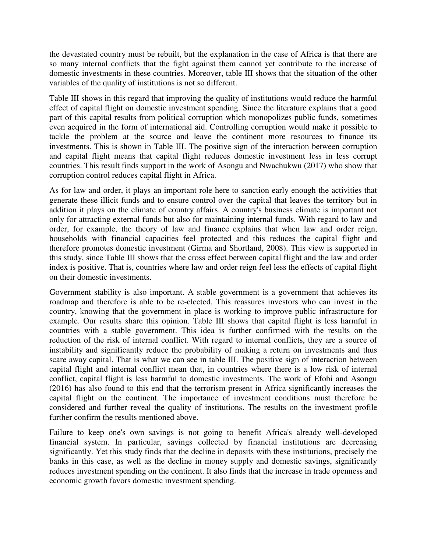the devastated country must be rebuilt, but the explanation in the case of Africa is that there are so many internal conflicts that the fight against them cannot yet contribute to the increase of domestic investments in these countries. Moreover, table III shows that the situation of the other variables of the quality of institutions is not so different.

Table III shows in this regard that improving the quality of institutions would reduce the harmful effect of capital flight on domestic investment spending. Since the literature explains that a good part of this capital results from political corruption which monopolizes public funds, sometimes even acquired in the form of international aid. Controlling corruption would make it possible to tackle the problem at the source and leave the continent more resources to finance its investments. This is shown in Table III. The positive sign of the interaction between corruption and capital flight means that capital flight reduces domestic investment less in less corrupt countries. This result finds support in the work of Asongu and Nwachukwu (2017) who show that corruption control reduces capital flight in Africa.

As for law and order, it plays an important role here to sanction early enough the activities that generate these illicit funds and to ensure control over the capital that leaves the territory but in addition it plays on the climate of country affairs. A country's business climate is important not only for attracting external funds but also for maintaining internal funds. With regard to law and order, for example, the theory of law and finance explains that when law and order reign, households with financial capacities feel protected and this reduces the capital flight and therefore promotes domestic investment (Girma and Shortland, 2008). This view is supported in this study, since Table III shows that the cross effect between capital flight and the law and order index is positive. That is, countries where law and order reign feel less the effects of capital flight on their domestic investments.

Government stability is also important. A stable government is a government that achieves its roadmap and therefore is able to be re-elected. This reassures investors who can invest in the country, knowing that the government in place is working to improve public infrastructure for example. Our results share this opinion. Table III shows that capital flight is less harmful in countries with a stable government. This idea is further confirmed with the results on the reduction of the risk of internal conflict. With regard to internal conflicts, they are a source of instability and significantly reduce the probability of making a return on investments and thus scare away capital. That is what we can see in table III. The positive sign of interaction between capital flight and internal conflict mean that, in countries where there is a low risk of internal conflict, capital flight is less harmful to domestic investments. The work of Efobi and Asongu (2016) has also found to this end that the terrorism present in Africa significantly increases the capital flight on the continent. The importance of investment conditions must therefore be considered and further reveal the quality of institutions. The results on the investment profile further confirm the results mentioned above.

Failure to keep one's own savings is not going to benefit Africa's already well-developed financial system. In particular, savings collected by financial institutions are decreasing significantly. Yet this study finds that the decline in deposits with these institutions, precisely the banks in this case, as well as the decline in money supply and domestic savings, significantly reduces investment spending on the continent. It also finds that the increase in trade openness and economic growth favors domestic investment spending.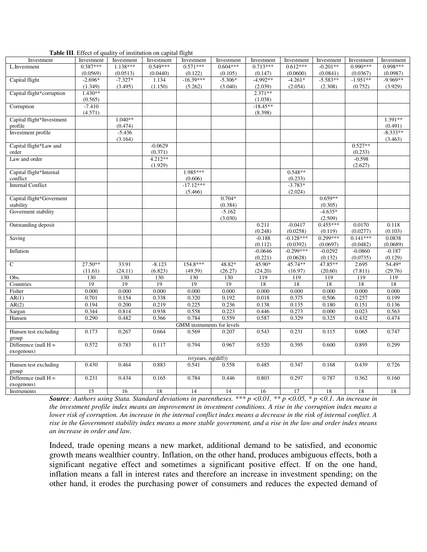|  | Table III. Effect of quality of institution on capital flight |  |
|--|---------------------------------------------------------------|--|
|  |                                                               |  |

|                           |            |            | <b>raoic 111.</b> Effect of quality of motitution on capital ingin |                            |            |            |             |            |            |            |
|---------------------------|------------|------------|--------------------------------------------------------------------|----------------------------|------------|------------|-------------|------------|------------|------------|
| Investment                | Investment | Investment | Investment                                                         | Investment                 | Investment | Investment | Investment  | Investment | Investment | Investment |
| L.Investment              | $0.387***$ | $1.138***$ | $0.549***$                                                         | $0.571***$                 | $0.604***$ | $0.713***$ | $0.612***$  | $-0.201**$ | $0.990***$ | 0.998***   |
|                           | (0.0569)   | (0.0513)   | (0.0440)                                                           | (0.122)                    | (0.105)    | (0.147)    | (0.0600)    | (0.0841)   | (0.0367)   | (0.0987)   |
| Capital flight            | $-2.696*$  | $-7.327*$  | 1.134                                                              | $-16.39***$                | $-5.306*$  | $-4.992**$ | $-4.261*$   | $-5.583**$ | $-1.951**$ | $-9.969**$ |
|                           | (1.349)    | (3.495)    | (1.150)                                                            | (5.262)                    | (3.040)    | (2.039)    | (2.054)     | (2.308)    | (0.752)    | (3.929)    |
| Capital flight*corruption | $1.430**$  |            |                                                                    |                            |            | $2.371**$  |             |            |            |            |
|                           |            |            |                                                                    |                            |            |            |             |            |            |            |
|                           | (0.565)    |            |                                                                    |                            |            | (1.038)    |             |            |            |            |
| Corruption                | $-7.410$   |            |                                                                    |                            |            | $-18.45**$ |             |            |            |            |
|                           | (4.571)    |            |                                                                    |                            |            | (8.398)    |             |            |            |            |
| Capital flight*Investment |            | $1.040**$  |                                                                    |                            |            |            |             |            |            | $1.391**$  |
| profile                   |            | (0.474)    |                                                                    |                            |            |            |             |            |            | (0.491)    |
| Investment profile        |            | $-5.436$   |                                                                    |                            |            |            |             |            |            | $-8.333**$ |
|                           |            | (3.164)    |                                                                    |                            |            |            |             |            |            | (3.463)    |
| Capital flight*Law and    |            |            | $-0.0629$                                                          |                            |            |            |             |            | $0.527**$  |            |
|                           |            |            |                                                                    |                            |            |            |             |            |            |            |
| order                     |            |            | (0.371)                                                            |                            |            |            |             |            | (0.233)    |            |
| Law and order             |            |            | 4.212**                                                            |                            |            |            |             |            | $-0.598$   |            |
|                           |            |            | (1.929)                                                            |                            |            |            |             |            | (2.627)    |            |
| Capital flight*Internal   |            |            |                                                                    | 1.985***                   |            |            | $0.548**$   |            |            |            |
| conflict                  |            |            |                                                                    | (0.606)                    |            |            | (0.233)     |            |            |            |
| <b>Internal Conflict</b>  |            |            |                                                                    | $-17.12***$                |            |            | $-3.783*$   |            |            |            |
|                           |            |            |                                                                    | (5.466)                    |            |            | (2.024)     |            |            |            |
| Capital flight*Goverment  |            |            |                                                                    |                            | $0.704*$   |            |             | $0.659**$  |            |            |
|                           |            |            |                                                                    |                            |            |            |             |            |            |            |
| stability                 |            |            |                                                                    |                            | (0.384)    |            |             | (0.305)    |            |            |
| Goverment stability       |            |            |                                                                    |                            | $-5.162$   |            |             | $-4.635*$  |            |            |
|                           |            |            |                                                                    |                            | (3.030)    |            |             | (2.509)    |            |            |
| Outstanding deposit       |            |            |                                                                    |                            |            | 0.211      | $-0.0417$   | $0.455***$ | 0.0170     | 0.118      |
|                           |            |            |                                                                    |                            |            | (0.248)    | (0.0258)    | (0.119)    | (0.0277)   | (0.103)    |
| Saving                    |            |            |                                                                    |                            |            | $-0.188$   | $-0.128***$ | $0.299***$ | $0.141***$ | 0.0838     |
|                           |            |            |                                                                    |                            |            | (0.112)    | (0.0392)    | (0.0697)   | (0.0482)   | (0.0689)   |
| Inflation                 |            |            |                                                                    |                            |            | $-0.0646$  | $-0.299***$ | $-0.0292$  | $-0.0860$  | $-0.187$   |
|                           |            |            |                                                                    |                            |            |            |             |            |            |            |
|                           |            |            |                                                                    |                            |            | (0.221)    | (0.0628)    | (0.132)    | (0.0735)   | (0.129)    |
| $\mathsf{C}$              | $27.50**$  | 33.91      | $-8.123$                                                           | 154.8***                   | 48.82*     | 45.90*     | 45.74**     | 47.85**    | 2.695      | 54.49*     |
|                           | (11.61)    | (24.11)    | (6.823)                                                            | (49.59)                    | (26.27)    | (24.20)    | (16.97)     | (20.60)    | (7.811)    | (29.76)    |
| Obs.                      | 130        | 130        | 130                                                                | 130                        | 130        | 119        | 119         | 119        | 119        | 119        |
| Countries                 | 19         | 19         | 19                                                                 | 19                         | 19         | 18         | 18          | 18         | 18         | 18         |
| Fisher                    | 0.000      | 0.000      | 0.000                                                              | 0.000                      | 0.000      | 0.000      | 0.000       | 0.000      | 0.000      | 0.000      |
| AR(1)                     | 0.701      | 0.154      | 0.338                                                              | 0.320                      | 0.192      | 0.018      | 0.375       | 0.506      | 0.257      | 0.199      |
| AR(2)                     | 0.194      | 0.200      | 0.219                                                              | 0.225                      | 0.236      | 0.138      | 0.135       | 0.180      | 0.151      | 0.136      |
|                           |            |            |                                                                    |                            |            |            |             |            |            |            |
| Sargan                    | 0.344      | 0.814      | 0.938                                                              | 0.558                      | 0.223      | 0.446      | 0.273       | 0.000      | 0.023      | 0.563      |
| Hansen                    | 0.290      | 0.482      | 0.366                                                              | 0.784                      | 0.559      | 0.587      | 0.329       | 0.325      | 0.432      | 0.474      |
|                           |            |            |                                                                    | GMM instruments for levels |            |            |             |            |            |            |
| Hansen test excluding     | 0.173      | 0.267      | 0.664                                                              | 0.569                      | 0.207      | 0.543      | 0.231       | 0.115      | 0.065      | 0.747      |
| group                     |            |            |                                                                    |                            |            |            |             |            |            |            |
| Difference (null $H =$    | 0.572      | 0.783      | 0.117                                                              | 0.794                      | 0.967      | 0.520      | 0.395       | 0.600      | 0.895      | 0.299      |
| exogenous)                |            |            |                                                                    |                            |            |            |             |            |            |            |
|                           |            |            |                                                                    |                            |            |            |             |            |            |            |
|                           |            |            |                                                                    | iv(years, eq(diff))        |            |            |             |            |            |            |
| Hansen test excluding     | 0.430      | 0.464      | 0.883                                                              | 0.541                      | 0.558      | 0.485      | 0.347       | 0.168      | 0.439      | 0.726      |
| group                     |            |            |                                                                    |                            |            |            |             |            |            |            |
| Difference (null $H =$    | 0.231      | 0.434      | 0.165                                                              | 0.784                      | 0.446      | 0.803      | 0.297       | 0.787      | 0.362      | 0.160      |
| exogenous)                |            |            |                                                                    |                            |            |            |             |            |            |            |
| Instruments               | 15         | 16         | 18                                                                 | 14                         | 14         | 16         | 17          | 18         | 18         | 18         |

*Source*: Authors using Stata. Standard deviations in parentheses. \*\*\* p <0.01, \*\* p <0.05, \* p <0.1. An increase in *the investment profile index means an improvement in investment conditions. A rise in the corruption index means a lower risk of corruption. An increase in the internal conflict index means a decrease in the risk of internal conflict. A rise in the Government stability index means a more stable government, and a rise in the law and order index means an increase in order and law.* 

Indeed, trade opening means a new market, additional demand to be satisfied, and economic growth means wealthier country. Inflation, on the other hand, produces ambiguous effects, both a significant negative effect and sometimes a significant positive effect. If on the one hand, inflation means a fall in interest rates and therefore an increase in investment spending; on the other hand, it erodes the purchasing power of consumers and reduces the expected demand of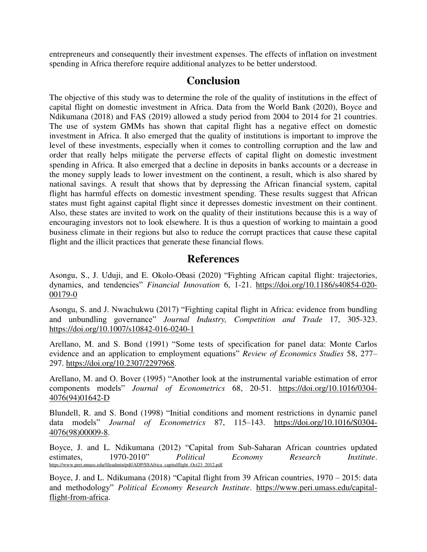entrepreneurs and consequently their investment expenses. The effects of inflation on investment spending in Africa therefore require additional analyzes to be better understood.

## **Conclusion**

The objective of this study was to determine the role of the quality of institutions in the effect of capital flight on domestic investment in Africa. Data from the World Bank (2020), Boyce and Ndikumana (2018) and FAS (2019) allowed a study period from 2004 to 2014 for 21 countries. The use of system GMMs has shown that capital flight has a negative effect on domestic investment in Africa. It also emerged that the quality of institutions is important to improve the level of these investments, especially when it comes to controlling corruption and the law and order that really helps mitigate the perverse effects of capital flight on domestic investment spending in Africa. It also emerged that a decline in deposits in banks accounts or a decrease in the money supply leads to lower investment on the continent, a result, which is also shared by national savings. A result that shows that by depressing the African financial system, capital flight has harmful effects on domestic investment spending. These results suggest that African states must fight against capital flight since it depresses domestic investment on their continent. Also, these states are invited to work on the quality of their institutions because this is a way of encouraging investors not to look elsewhere. It is thus a question of working to maintain a good business climate in their regions but also to reduce the corrupt practices that cause these capital flight and the illicit practices that generate these financial flows.

### **References**

Asongu, S., J. Uduji, and E. Okolo-Obasi (2020) "Fighting African capital flight: trajectories, dynamics, and tendencies" *Financial Innovation* 6, 1-21. [https://doi.org/10.1186/s40854-020-](https://doi.org/10.1186/s40854-020-00179-0) [00179-0](https://doi.org/10.1186/s40854-020-00179-0) 

Asongu, S. and J. Nwachukwu (2017) "Fighting capital flight in Africa: evidence from bundling and unbundling governance" *Journal Industry, Competition and Trade* 17, 305-323. <https://doi.org/10.1007/s10842-016-0240-1>

Arellano, M. and S. Bond (1991) "Some tests of specification for panel data: Monte Carlos evidence and an application to employment equations" *Review of Economics Studies* 58, 277– 297. [https://doi.org/10.2307/2297968.](https://doi.org/10.2307/2297968)

Arellano, M. and O. Bover (1995) "Another look at the instrumental variable estimation of error components models" *Journal of Econometrics* 68, 20-51. [https://doi.org/10.1016/0304-](https://doi.org/10.1016/0304-4076(94)01642-D) [4076\(94\)01642-D](https://doi.org/10.1016/0304-4076(94)01642-D) 

Blundell, R. and S. Bond (1998) "Initial conditions and moment restrictions in dynamic panel data models" *Journal of Econometrics* 87, 115–143. [https://doi.org/10.1016/S0304-](https://doi.org/10.1016/S0304-4076(98)00009-8) [4076\(98\)00009-8.](https://doi.org/10.1016/S0304-4076(98)00009-8)

Boyce, J. and L. Ndikumana (2012) "Capital from Sub-Saharan African countries updated estimates, 1970-2010" *Political Economy Research Institute*. [https://www.peri.umass.edu/fileadmin/pdf/ADP/SSAfrica\\_capitalflight\\_Oct23\\_2012.pdf](https://www.peri.umass.edu/fileadmin/pdf/ADP/SSAfrica_capitalflight_Oct23_2012.pdf) 

Boyce, J. and L. Ndikumana (2018) "Capital flight from 39 African countries, 1970 – 2015: data and methodology" *Political Economy Research Institute*. [https://www.peri.umass.edu/capital](https://www.peri.umass.edu/capital-flight-from-africa)[flight-from-africa.](https://www.peri.umass.edu/capital-flight-from-africa)